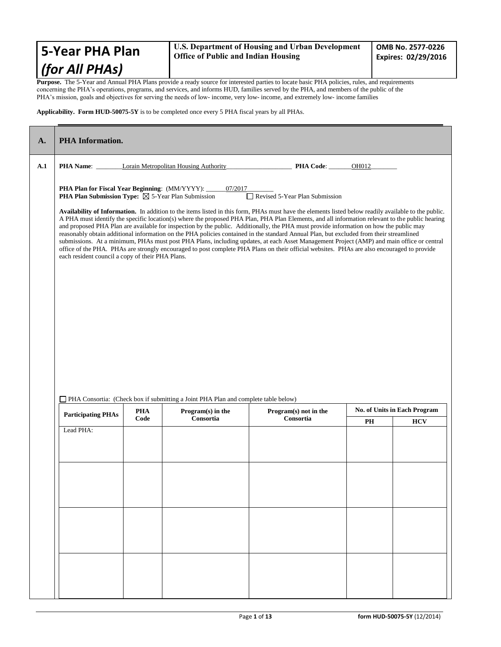| <b>5-Year PHA Plan</b>                                                                                                                               | U.S. Department of Housing and Urban Development<br><b>Office of Public and Indian Housing</b> | OMB No. 2577-0226<br>Expires: 02/29/2016 |  |
|------------------------------------------------------------------------------------------------------------------------------------------------------|------------------------------------------------------------------------------------------------|------------------------------------------|--|
| (for All PHAs)                                                                                                                                       |                                                                                                |                                          |  |
| <b>Purnose</b> . The 5-Year and Annual PHA Plans provide a ready source for interested parties to locate basic PHA policies, rules, and requirements |                                                                                                |                                          |  |

**Purpose.** The 5-Year and Annual PHA Plans provide a ready source for interested parties to locate basic PHA policies, rules, and requirements concerning the PHA's operations, programs, and services, and informs HUD, families served by the PHA, and members of the public of the PHA's mission, goals and objectives for serving the needs of low- income, very low- income, and extremely low- income families

### **Applicability. Form HUD-50075-5Y** is to be completed once every 5 PHA fiscal years by all PHAs.

| A.                                                                                                                                                                                                                                                                                                                                                                                                                                                                                                                                                                                                                                                                                                                                                                                                                                                                                                                                                                                                                                                                                                                                                                                  | <b>PHA</b> Information.   |                    |                                                                                    |                                    |       |                                            |  |
|-------------------------------------------------------------------------------------------------------------------------------------------------------------------------------------------------------------------------------------------------------------------------------------------------------------------------------------------------------------------------------------------------------------------------------------------------------------------------------------------------------------------------------------------------------------------------------------------------------------------------------------------------------------------------------------------------------------------------------------------------------------------------------------------------------------------------------------------------------------------------------------------------------------------------------------------------------------------------------------------------------------------------------------------------------------------------------------------------------------------------------------------------------------------------------------|---------------------------|--------------------|------------------------------------------------------------------------------------|------------------------------------|-------|--------------------------------------------|--|
| A.1                                                                                                                                                                                                                                                                                                                                                                                                                                                                                                                                                                                                                                                                                                                                                                                                                                                                                                                                                                                                                                                                                                                                                                                 |                           |                    |                                                                                    |                                    | OH012 |                                            |  |
| PHA Name: Lorain Metropolitan Housing Authority PHA Code:<br>PHA Plan for Fiscal Year Beginning: (MM/YYYY): ____<br>07/2017<br><b>PHA Plan Submission Type:</b> $\boxtimes$ 5-Year Plan Submission<br>Revised 5-Year Plan Submission<br>Availability of Information. In addition to the items listed in this form, PHAs must have the elements listed below readily available to the public.<br>A PHA must identify the specific location(s) where the proposed PHA Plan, PHA Plan Elements, and all information relevant to the public hearing<br>and proposed PHA Plan are available for inspection by the public. Additionally, the PHA must provide information on how the public may<br>reasonably obtain additional information on the PHA policies contained in the standard Annual Plan, but excluded from their streamlined<br>submissions. At a minimum, PHAs must post PHA Plans, including updates, at each Asset Management Project (AMP) and main office or central<br>office of the PHA. PHAs are strongly encouraged to post complete PHA Plans on their official websites. PHAs are also encouraged to provide<br>each resident council a copy of their PHA Plans. |                           |                    |                                                                                    |                                    |       |                                            |  |
|                                                                                                                                                                                                                                                                                                                                                                                                                                                                                                                                                                                                                                                                                                                                                                                                                                                                                                                                                                                                                                                                                                                                                                                     |                           |                    | PHA Consortia: (Check box if submitting a Joint PHA Plan and complete table below) |                                    |       |                                            |  |
|                                                                                                                                                                                                                                                                                                                                                                                                                                                                                                                                                                                                                                                                                                                                                                                                                                                                                                                                                                                                                                                                                                                                                                                     | <b>Participating PHAs</b> | <b>PHA</b><br>Code | Program(s) in the<br>Consortia                                                     | Program(s) not in the<br>Consortia | PH    | No. of Units in Each Program<br><b>HCV</b> |  |
|                                                                                                                                                                                                                                                                                                                                                                                                                                                                                                                                                                                                                                                                                                                                                                                                                                                                                                                                                                                                                                                                                                                                                                                     | Lead PHA:                 |                    |                                                                                    |                                    |       |                                            |  |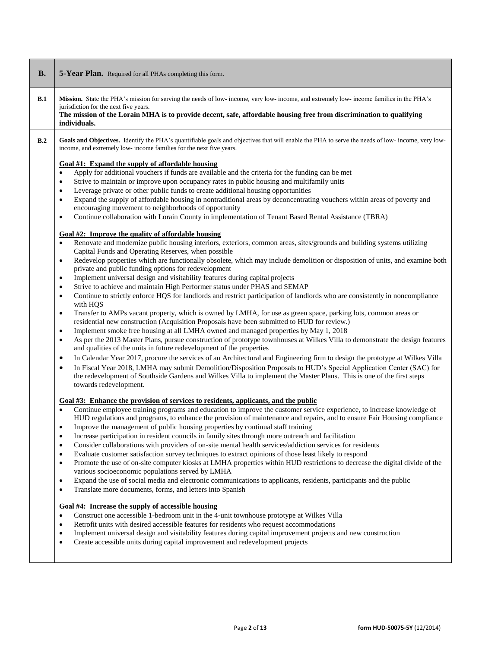| <b>B.</b> | 5-Year Plan. Required for all PHAs completing this form.                                                                                                                                                                                                                                                                                                                                                                                                                                                                                                                                                                                                                                                                                                                                                                                                                                                                                                                                                                                                                                                                                                                                                                                                                                                                                                                                                                                                                                                                                                                                                                                                                                                                                                                                                                                                                                                                                                                                                                                                                                                                                                                                                                                                                                                                                                                                                                                     |
|-----------|----------------------------------------------------------------------------------------------------------------------------------------------------------------------------------------------------------------------------------------------------------------------------------------------------------------------------------------------------------------------------------------------------------------------------------------------------------------------------------------------------------------------------------------------------------------------------------------------------------------------------------------------------------------------------------------------------------------------------------------------------------------------------------------------------------------------------------------------------------------------------------------------------------------------------------------------------------------------------------------------------------------------------------------------------------------------------------------------------------------------------------------------------------------------------------------------------------------------------------------------------------------------------------------------------------------------------------------------------------------------------------------------------------------------------------------------------------------------------------------------------------------------------------------------------------------------------------------------------------------------------------------------------------------------------------------------------------------------------------------------------------------------------------------------------------------------------------------------------------------------------------------------------------------------------------------------------------------------------------------------------------------------------------------------------------------------------------------------------------------------------------------------------------------------------------------------------------------------------------------------------------------------------------------------------------------------------------------------------------------------------------------------------------------------------------------------|
| B.1       | Mission. State the PHA's mission for serving the needs of low- income, very low- income, and extremely low- income families in the PHA's<br>jurisdiction for the next five years.<br>The mission of the Lorain MHA is to provide decent, safe, affordable housing free from discrimination to qualifying<br>individuals.                                                                                                                                                                                                                                                                                                                                                                                                                                                                                                                                                                                                                                                                                                                                                                                                                                                                                                                                                                                                                                                                                                                                                                                                                                                                                                                                                                                                                                                                                                                                                                                                                                                                                                                                                                                                                                                                                                                                                                                                                                                                                                                     |
| B.2       | Goals and Objectives. Identify the PHA's quantifiable goals and objectives that will enable the PHA to serve the needs of low-income, very low-<br>income, and extremely low- income families for the next five years.<br>Goal #1: Expand the supply of affordable housing<br>Apply for additional vouchers if funds are available and the criteria for the funding can be met<br>$\bullet$<br>Strive to maintain or improve upon occupancy rates in public housing and multifamily units<br>$\bullet$<br>Leverage private or other public funds to create additional housing opportunities<br>$\bullet$<br>Expand the supply of affordable housing in nontraditional areas by deconcentrating vouchers within areas of poverty and<br>$\bullet$<br>encouraging movement to neighborhoods of opportunity<br>Continue collaboration with Lorain County in implementation of Tenant Based Rental Assistance (TBRA)<br>$\bullet$<br>Goal #2: Improve the quality of affordable housing<br>Renovate and modernize public housing interiors, exteriors, common areas, sites/grounds and building systems utilizing<br>$\bullet$<br>Capital Funds and Operating Reserves, when possible<br>Redevelop properties which are functionally obsolete, which may include demolition or disposition of units, and examine both<br>$\bullet$<br>private and public funding options for redevelopment<br>Implement universal design and visitability features during capital projects<br>$\bullet$<br>Strive to achieve and maintain High Performer status under PHAS and SEMAP<br>$\bullet$<br>Continue to strictly enforce HQS for landlords and restrict participation of landlords who are consistently in noncompliance<br>$\bullet$<br>with HQS<br>Transfer to AMPs vacant property, which is owned by LMHA, for use as green space, parking lots, common areas or<br>$\bullet$<br>residential new construction (Acquisition Proposals have been submitted to HUD for review.)<br>Implement smoke free housing at all LMHA owned and managed properties by May 1, 2018<br>$\bullet$<br>As per the 2013 Master Plans, pursue construction of prototype townhouses at Wilkes Villa to demonstrate the design features<br>$\bullet$<br>and qualities of the units in future redevelopment of the properties<br>In Calendar Year 2017, procure the services of an Architectural and Engineering firm to design the prototype at Wilkes Villa<br>$\bullet$ |
|           | In Fiscal Year 2018, LMHA may submit Demolition/Disposition Proposals to HUD's Special Application Center (SAC) for<br>$\bullet$<br>the redevelopment of Southside Gardens and Wilkes Villa to implement the Master Plans. This is one of the first steps<br>towards redevelopment.<br>Goal #3: Enhance the provision of services to residents, applicants, and the public<br>Continue employee training programs and education to improve the customer service experience, to increase knowledge of<br>HUD regulations and programs, to enhance the provision of maintenance and repairs, and to ensure Fair Housing compliance<br>Improve the management of public housing properties by continual staff training<br>Increase participation in resident councils in family sites through more outreach and facilitation<br>$\bullet$<br>Consider collaborations with providers of on-site mental health services/addiction services for residents<br>$\bullet$<br>Evaluate customer satisfaction survey techniques to extract opinions of those least likely to respond<br>$\bullet$<br>Promote the use of on-site computer kiosks at LMHA properties within HUD restrictions to decrease the digital divide of the<br>$\bullet$<br>various socioeconomic populations served by LMHA<br>Expand the use of social media and electronic communications to applicants, residents, participants and the public<br>$\bullet$<br>Translate more documents, forms, and letters into Spanish<br>$\bullet$<br>Goal #4: Increase the supply of accessible housing<br>Construct one accessible 1-bedroom unit in the 4-unit townhouse prototype at Wilkes Villa<br>$\bullet$<br>Retrofit units with desired accessible features for residents who request accommodations<br>$\bullet$<br>Implement universal design and visitability features during capital improvement projects and new construction<br>$\bullet$<br>Create accessible units during capital improvement and redevelopment projects<br>$\bullet$                                                                                                                                                                                                                                                                                                                                                                                                                                     |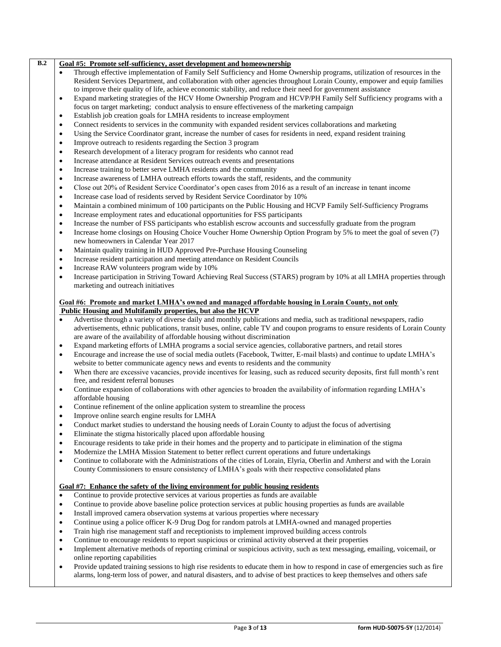|           | Goal #5: Promote self-sufficiency, asset development and homeownership<br>Through effective implementation of Family Self Sufficiency and Home Ownership programs, utilization of resources in the |
|-----------|----------------------------------------------------------------------------------------------------------------------------------------------------------------------------------------------------|
|           | Resident Services Department, and collaboration with other agencies throughout Lorain County, empower and equip families                                                                           |
|           | to improve their quality of life, achieve economic stability, and reduce their need for government assistance                                                                                      |
| ٠         | Expand marketing strategies of the HCV Home Ownership Program and HCVP/PH Family Self Sufficiency programs with a                                                                                  |
|           | focus on target marketing; conduct analysis to ensure effectiveness of the marketing campaign                                                                                                      |
| ٠         | Establish job creation goals for LMHA residents to increase employment                                                                                                                             |
| ٠         | Connect residents to services in the community with expanded resident services collaborations and marketing                                                                                        |
| $\bullet$ | Using the Service Coordinator grant, increase the number of cases for residents in need, expand resident training                                                                                  |
| $\bullet$ | Improve outreach to residents regarding the Section 3 program                                                                                                                                      |
| $\bullet$ | Research development of a literacy program for residents who cannot read                                                                                                                           |
| $\bullet$ | Increase attendance at Resident Services outreach events and presentations                                                                                                                         |
| ٠         | Increase training to better serve LMHA residents and the community                                                                                                                                 |
| ٠         | Increase awareness of LMHA outreach efforts towards the staff, residents, and the community                                                                                                        |
| ٠         | Close out 20% of Resident Service Coordinator's open cases from 2016 as a result of an increase in tenant income                                                                                   |

- Increase case load of residents served by Resident Service Coordinator by 10%
- Maintain a combined minimum of 100 participants on the Public Housing and HCVP Family Self-Sufficiency Programs
- Increase employment rates and educational opportunities for FSS participants
- Increase the number of FSS participants who establish escrow accounts and successfully graduate from the program
- Increase home closings on Housing Choice Voucher Home Ownership Option Program by 5% to meet the goal of seven (7) new homeowners in Calendar Year 2017
- Maintain quality training in HUD Approved Pre-Purchase Housing Counseling
- Increase resident participation and meeting attendance on Resident Councils
- Increase RAW volunteers program wide by 10%
- Increase participation in Striving Toward Achieving Real Success (STARS) program by 10% at all LMHA properties through marketing and outreach initiatives

### **Goal #6: Promote and market LMHA's owned and managed affordable housing in Lorain County, not only Public Housing and Multifamily properties, but also the HCVP**

- Advertise through a variety of diverse daily and monthly publications and media, such as traditional newspapers, radio advertisements, ethnic publications, transit buses, online, cable TV and coupon programs to ensure residents of Lorain County are aware of the availability of affordable housing without discrimination
- Expand marketing efforts of LMHA programs a social service agencies, collaborative partners, and retail stores
- Encourage and increase the use of social media outlets (Facebook, Twitter, E-mail blasts) and continue to update LMHA's website to better communicate agency news and events to residents and the community
- When there are excessive vacancies, provide incentives for leasing, such as reduced security deposits, first full month's rent free, and resident referral bonuses
- Continue expansion of collaborations with other agencies to broaden the availability of information regarding LMHA's affordable housing
- Continue refinement of the online application system to streamline the process
- Improve online search engine results for LMHA
- Conduct market studies to understand the housing needs of Lorain County to adjust the focus of advertising
- Eliminate the stigma historically placed upon affordable housing
- Encourage residents to take pride in their homes and the property and to participate in elimination of the stigma
- Modernize the LMHA Mission Statement to better reflect current operations and future undertakings
- Continue to collaborate with the Administrations of the cities of Lorain, Elyria, Oberlin and Amherst and with the Lorain County Commissioners to ensure consistency of LMHA's goals with their respective consolidated plans

### **Goal #7: Enhance the safety of the living environment for public housing residents**

- Continue to provide protective services at various properties as funds are available
- Continue to provide above baseline police protection services at public housing properties as funds are available
- Install improved camera observation systems at various properties where necessary
- Continue using a police officer K-9 Drug Dog for random patrols at LMHA-owned and managed properties
- Train high rise management staff and receptionists to implement improved building access controls
- Continue to encourage residents to report suspicious or criminal activity observed at their properties
- Implement alternative methods of reporting criminal or suspicious activity, such as text messaging, emailing, voicemail, or online reporting capabilities
- Provide updated training sessions to high rise residents to educate them in how to respond in case of emergencies such as fire alarms, long-term loss of power, and natural disasters, and to advise of best practices to keep themselves and others safe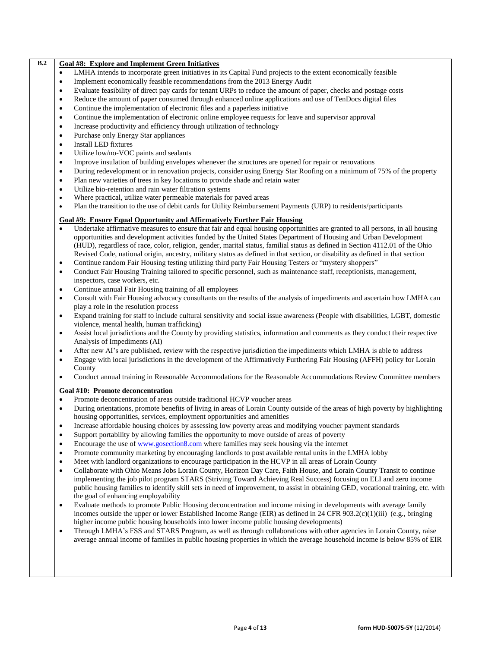## Page **4** of **13 form HUD-50075-5Y** (12/2014) Continue the implementation of electronic online employee requests for leave and supervisor approval Increase productivity and efficiency through utilization of technology Purchase only Energy Star appliances Install LED fixtures Utilize low/no-VOC paints and sealants Improve insulation of building envelopes whenever the structures are opened for repair or renovations During redevelopment or in renovation projects, consider using Energy Star Roofing on a minimum of 75% of the property Plan new varieties of trees in key locations to provide shade and retain water Utilize bio-retention and rain water filtration systems Where practical, utilize water permeable materials for paved areas Plan the transition to the use of debit cards for Utility Reimbursement Payments (URP) to residents/participants **Goal #9: Ensure Equal Opportunity and Affirmatively Further Fair Housing** Undertake affirmative measures to ensure that fair and equal housing opportunities are granted to all persons, in all housing opportunities and development activities funded by the United States Department of Housing and Urban Development (HUD), regardless of race, color, religion, gender, marital status, familial status as defined in Section 4112.01 of the Ohio Revised Code, national origin, ancestry, military status as defined in that section, or disability as defined in that section Continue random Fair Housing testing utilizing third party Fair Housing Testers or "mystery shoppers" Conduct Fair Housing Training tailored to specific personnel, such as maintenance staff, receptionists, management, inspectors, case workers, etc. Continue annual Fair Housing training of all employees Consult with Fair Housing advocacy consultants on the results of the analysis of impediments and ascertain how LMHA can play a role in the resolution process Expand training for staff to include cultural sensitivity and social issue awareness (People with disabilities, LGBT, domestic violence, mental health, human trafficking) Assist local jurisdictions and the County by providing statistics, information and comments as they conduct their respective Analysis of Impediments (AI) After new AI's are published, review with the respective jurisdiction the impediments which LMHA is able to address Engage with local jurisdictions in the development of the Affirmatively Furthering Fair Housing (AFFH) policy for Lorain County Conduct annual training in Reasonable Accommodations for the Reasonable Accommodations Review Committee members **Goal #10: Promote deconcentration**  Promote deconcentration of areas outside traditional HCVP voucher areas During orientations, promote benefits of living in areas of Lorain County outside of the areas of high poverty by highlighting housing opportunities, services, employment opportunities and amenities Increase affordable housing choices by assessing low poverty areas and modifying voucher payment standards Support portability by allowing families the opportunity to move outside of areas of poverty Encourage the use o[f www.gosection8.com](http://www.gosection8.com/) where families may seek housing via the internet Promote community marketing by encouraging landlords to post available rental units in the LMHA lobby Meet with landlord organizations to encourage participation in the HCVP in all areas of Lorain County Collaborate with Ohio Means Jobs Lorain County, Horizon Day Care, Faith House, and Lorain County Transit to continue implementing the job pilot program STARS (Striving Toward Achieving Real Success) focusing on ELI and zero income public housing families to identify skill sets in need of improvement, to assist in obtaining GED, vocational training, etc. with the goal of enhancing employability Evaluate methods to promote Public Housing deconcentration and income mixing in developments with average family incomes outside the upper or lower Established Income Range (EIR) as defined in 24 CFR 903.2(c)(1)(iii) (e.g., bringing higher income public housing households into lower income public housing developments) Through LMHA's FSS and STARS Program, as well as through collaborations with other agencies in Lorain County, raise average annual income of families in public housing properties in which the average household income is below 85% of EIR

LMHA intends to incorporate green initiatives in its Capital Fund projects to the extent economically feasible

 Evaluate feasibility of direct pay cards for tenant URPs to reduce the amount of paper, checks and postage costs Reduce the amount of paper consumed through enhanced online applications and use of TenDocs digital files

Implement economically feasible recommendations from the 2013 Energy Audit

Continue the implementation of electronic files and a paperless initiative

**B.2 Goal #8: Explore and Implement Green Initiatives**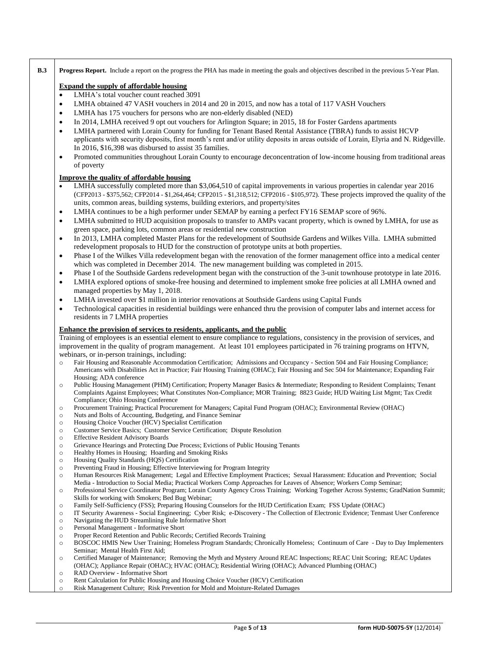|                                                                                                                                                                                                               | <b>Progress Report.</b> Include a report on the progress the PHA has made in meeting the goals and objectives described in the previous 5-Year Plan.                                                                                                                |  |  |  |
|---------------------------------------------------------------------------------------------------------------------------------------------------------------------------------------------------------------|---------------------------------------------------------------------------------------------------------------------------------------------------------------------------------------------------------------------------------------------------------------------|--|--|--|
| <b>Expand the supply of affordable housing</b>                                                                                                                                                                |                                                                                                                                                                                                                                                                     |  |  |  |
| $\bullet$                                                                                                                                                                                                     | LMHA's total voucher count reached 3091                                                                                                                                                                                                                             |  |  |  |
| $\bullet$                                                                                                                                                                                                     | LMHA obtained 47 VASH vouchers in 2014 and 20 in 2015, and now has a total of 117 VASH Vouchers                                                                                                                                                                     |  |  |  |
| $\bullet$                                                                                                                                                                                                     | LMHA has 175 vouchers for persons who are non-elderly disabled (NED)                                                                                                                                                                                                |  |  |  |
| $\bullet$                                                                                                                                                                                                     | In 2014, LMHA received 9 opt out vouchers for Arlington Square; in 2015, 18 for Foster Gardens apartments                                                                                                                                                           |  |  |  |
| $\bullet$                                                                                                                                                                                                     | LMHA partnered with Lorain County for funding for Tenant Based Rental Assistance (TBRA) funds to assist HCVP                                                                                                                                                        |  |  |  |
|                                                                                                                                                                                                               | applicants with security deposits, first month's rent and/or utility deposits in areas outside of Lorain, Elyria and N. Ridgeville.                                                                                                                                 |  |  |  |
|                                                                                                                                                                                                               |                                                                                                                                                                                                                                                                     |  |  |  |
|                                                                                                                                                                                                               | In 2016, \$16,398 was disbursed to assist 35 families.                                                                                                                                                                                                              |  |  |  |
| $\bullet$                                                                                                                                                                                                     | Promoted communities throughout Lorain County to encourage deconcentration of low-income housing from traditional areas<br>of poverty                                                                                                                               |  |  |  |
|                                                                                                                                                                                                               | <b>Improve the quality of affordable housing</b>                                                                                                                                                                                                                    |  |  |  |
|                                                                                                                                                                                                               | LMHA successfully completed more than \$3,064,510 of capital improvements in various properties in calendar year 2016                                                                                                                                               |  |  |  |
|                                                                                                                                                                                                               | (CFP2013 - \$375,562; CFP2014 - \$1,264,464; CFP2015 - \$1,318,512; CFP2016 - \$105,972). These projects improved the quality of the                                                                                                                                |  |  |  |
|                                                                                                                                                                                                               | units, common areas, building systems, building exteriors, and property/sites                                                                                                                                                                                       |  |  |  |
| $\bullet$                                                                                                                                                                                                     | LMHA continues to be a high performer under SEMAP by earning a perfect FY16 SEMAP score of 96%.                                                                                                                                                                     |  |  |  |
|                                                                                                                                                                                                               |                                                                                                                                                                                                                                                                     |  |  |  |
| $\bullet$                                                                                                                                                                                                     | LMHA submitted to HUD acquisition proposals to transfer to AMPs vacant property, which is owned by LMHA, for use as                                                                                                                                                 |  |  |  |
|                                                                                                                                                                                                               | green space, parking lots, common areas or residential new construction                                                                                                                                                                                             |  |  |  |
| $\bullet$                                                                                                                                                                                                     | In 2013, LMHA completed Master Plans for the redevelopment of Southside Gardens and Wilkes Villa. LMHA submitted                                                                                                                                                    |  |  |  |
|                                                                                                                                                                                                               | redevelopment proposals to HUD for the construction of prototype units at both properties.                                                                                                                                                                          |  |  |  |
| $\bullet$                                                                                                                                                                                                     | Phase I of the Wilkes Villa redevelopment began with the renovation of the former management office into a medical center                                                                                                                                           |  |  |  |
|                                                                                                                                                                                                               | which was completed in December 2014. The new management building was completed in 2015.                                                                                                                                                                            |  |  |  |
| $\bullet$                                                                                                                                                                                                     | Phase I of the Southside Gardens redevelopment began with the construction of the 3-unit townhouse prototype in late 2016.                                                                                                                                          |  |  |  |
| $\bullet$                                                                                                                                                                                                     | LMHA explored options of smoke-free housing and determined to implement smoke free policies at all LMHA owned and                                                                                                                                                   |  |  |  |
|                                                                                                                                                                                                               | managed properties by May 1, 2018.                                                                                                                                                                                                                                  |  |  |  |
| ٠                                                                                                                                                                                                             | LMHA invested over \$1 million in interior renovations at Southside Gardens using Capital Funds                                                                                                                                                                     |  |  |  |
| $\bullet$                                                                                                                                                                                                     | Technological capacities in residential buildings were enhanced thru the provision of computer labs and internet access for                                                                                                                                         |  |  |  |
|                                                                                                                                                                                                               | residents in 7 LMHA properties                                                                                                                                                                                                                                      |  |  |  |
|                                                                                                                                                                                                               |                                                                                                                                                                                                                                                                     |  |  |  |
|                                                                                                                                                                                                               | Enhance the provision of services to residents, applicants, and the public                                                                                                                                                                                          |  |  |  |
|                                                                                                                                                                                                               | Training of employees is an essential element to ensure compliance to regulations, consistency in the provision of services, and                                                                                                                                    |  |  |  |
|                                                                                                                                                                                                               | improvement in the quality of program management. At least 101 employees participated in 76 training programs on HTVN,                                                                                                                                              |  |  |  |
|                                                                                                                                                                                                               | webinars, or in-person trainings, including:                                                                                                                                                                                                                        |  |  |  |
| $\circ$                                                                                                                                                                                                       |                                                                                                                                                                                                                                                                     |  |  |  |
|                                                                                                                                                                                                               | Fair Housing and Reasonable Accommodation Certification; Admissions and Occupancy - Section 504 and Fair Housing Compliance;<br>Americans with Disabilities Act in Practice; Fair Housing Training (OHAC); Fair Housing and Sec 504 for Maintenance; Expanding Fair |  |  |  |
|                                                                                                                                                                                                               | Housing; ADA conference                                                                                                                                                                                                                                             |  |  |  |
|                                                                                                                                                                                                               | Public Housing Management (PHM) Certification; Property Manager Basics & Intermediate; Responding to Resident Complaints; Tenant<br>Complaints Against Employees; What Constitutes Non-Compliance; MOR Training; 8823 Guide; HUD Waiting List Mgmt; Tax Credit      |  |  |  |
|                                                                                                                                                                                                               | Compliance; Ohio Housing Conference                                                                                                                                                                                                                                 |  |  |  |
|                                                                                                                                                                                                               | Procurement Training; Practical Procurement for Managers; Capital Fund Program (OHAC); Environmental Review (OHAC)                                                                                                                                                  |  |  |  |
|                                                                                                                                                                                                               | Nuts and Bolts of Accounting, Budgeting, and Finance Seminar                                                                                                                                                                                                        |  |  |  |
|                                                                                                                                                                                                               | Housing Choice Voucher (HCV) Specialist Certification                                                                                                                                                                                                               |  |  |  |
|                                                                                                                                                                                                               | Customer Service Basics; Customer Service Certification; Dispute Resolution                                                                                                                                                                                         |  |  |  |
|                                                                                                                                                                                                               | <b>Effective Resident Advisory Boards</b>                                                                                                                                                                                                                           |  |  |  |
|                                                                                                                                                                                                               | Grievance Hearings and Protecting Due Process; Evictions of Public Housing Tenants                                                                                                                                                                                  |  |  |  |
|                                                                                                                                                                                                               | Healthy Homes in Housing; Hoarding and Smoking Risks<br>Housing Quality Standards (HQS) Certification                                                                                                                                                               |  |  |  |
|                                                                                                                                                                                                               | Preventing Fraud in Housing; Effective Interviewing for Program Integrity                                                                                                                                                                                           |  |  |  |
|                                                                                                                                                                                                               | Human Resources Risk Management; Legal and Effective Employment Practices; Sexual Harassment: Education and Prevention; Social                                                                                                                                      |  |  |  |
|                                                                                                                                                                                                               | Media - Introduction to Social Media; Practical Workers Comp Approaches for Leaves of Absence; Workers Comp Seminar;                                                                                                                                                |  |  |  |
|                                                                                                                                                                                                               |                                                                                                                                                                                                                                                                     |  |  |  |
|                                                                                                                                                                                                               | Skills for working with Smokers; Bed Bug Webinar;                                                                                                                                                                                                                   |  |  |  |
|                                                                                                                                                                                                               | Family Self-Sufficiency (FSS); Preparing Housing Counselors for the HUD Certification Exam; FSS Update (OHAC)                                                                                                                                                       |  |  |  |
|                                                                                                                                                                                                               | IT Security Awareness - Social Engineering; Cyber Risk; e-Discovery - The Collection of Electronic Evidence; Tenmast User Conference                                                                                                                                |  |  |  |
|                                                                                                                                                                                                               | Navigating the HUD Streamlining Rule Informative Short                                                                                                                                                                                                              |  |  |  |
|                                                                                                                                                                                                               | Personal Management - Informative Short                                                                                                                                                                                                                             |  |  |  |
|                                                                                                                                                                                                               | Proper Record Retention and Public Records; Certified Records Training                                                                                                                                                                                              |  |  |  |
|                                                                                                                                                                                                               | Professional Service Coordinator Program; Lorain County Agency Cross Training; Working Together Across Systems; GradNation Summit;<br>BOSCOC HMIS New User Training; Homeless Program Standards; Chronically Homeless; Continuum of Care - Day to Day Implementers  |  |  |  |
|                                                                                                                                                                                                               | Seminar; Mental Health First Aid;                                                                                                                                                                                                                                   |  |  |  |
|                                                                                                                                                                                                               | Certified Manager of Maintenance; Removing the Myth and Mystery Around REAC Inspections; REAC Unit Scoring; REAC Updates                                                                                                                                            |  |  |  |
| $\circ$<br>$\circ$<br>$\circ$<br>$\circ$<br>$\circ$<br>$\circ$<br>$\circ$<br>$\circ$<br>$\circ$<br>$\circ$<br>$\circ$<br>$\circ$<br>$\circ$<br>$\circ$<br>$\circ$<br>$\circ$<br>$\circ$<br>$\circ$<br>$\circ$ | (OHAC); Appliance Repair (OHAC); HVAC (OHAC); Residential Wiring (OHAC); Advanced Plumbing (OHAC)                                                                                                                                                                   |  |  |  |
| $\circ$<br>$\circ$                                                                                                                                                                                            | RAD Overview - Informative Short<br>Rent Calculation for Public Housing and Housing Choice Voucher (HCV) Certification                                                                                                                                              |  |  |  |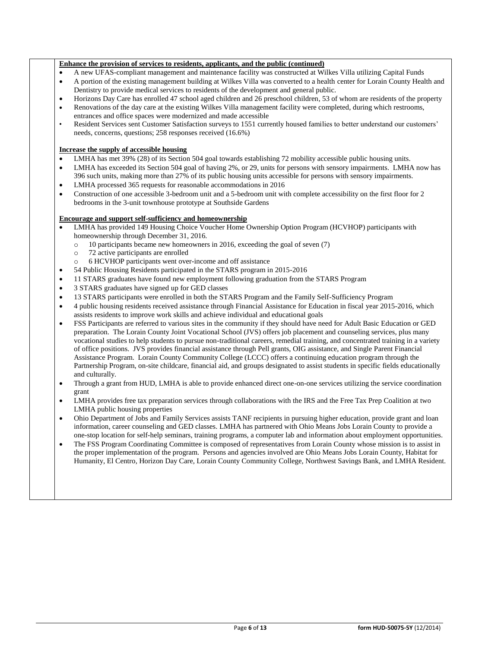### **Enhance the provision of services to residents, applicants, and the public (continued)**

- A new UFAS-compliant management and maintenance facility was constructed at Wilkes Villa utilizing Capital Funds
- A portion of the existing management building at Wilkes Villa was converted to a health center for Lorain County Health and Dentistry to provide medical services to residents of the development and general public.
- Horizons Day Care has enrolled 47 school aged children and 26 preschool children, 53 of whom are residents of the property
- Renovations of the day care at the existing Wilkes Villa management facility were completed, during which restrooms, entrances and office spaces were modernized and made accessible
- Resident Services sent Customer Satisfaction surveys to 1551 currently housed families to better understand our customers' needs, concerns, questions; 258 responses received (16.6%)

### **Increase the supply of accessible housing**

- LMHA has met 39% (28) of its Section 504 goal towards establishing 72 mobility accessible public housing units.
- LMHA has exceeded its Section 504 goal of having 2%, or 29, units for persons with sensory impairments. LMHA now has 396 such units, making more than 27% of its public housing units accessible for persons with sensory impairments.
- LMHA processed 365 requests for reasonable accommodations in 2016
- Construction of one accessible 3-bedroom unit and a 5-bedroom unit with complete accessibility on the first floor for 2 bedrooms in the 3-unit townhouse prototype at Southside Gardens

### **Encourage and support self-sufficiency and homeownership**

- LMHA has provided 149 Housing Choice Voucher Home Ownership Option Program (HCVHOP) participants with homeownership through December 31, 2016.
	- o 10 participants became new homeowners in 2016, exceeding the goal of seven (7)
	- o 72 active participants are enrolled
	- o 6 HCVHOP participants went over-income and off assistance
- 54 Public Housing Residents participated in the STARS program in 2015-2016
- 11 STARS graduates have found new employment following graduation from the STARS Program
- 3 STARS graduates have signed up for GED classes
- 13 STARS participants were enrolled in both the STARS Program and the Family Self-Sufficiency Program
- 4 public housing residents received assistance through Financial Assistance for Education in fiscal year 2015-2016, which assists residents to improve work skills and achieve individual and educational goals
- FSS Participants are referred to various sites in the community if they should have need for Adult Basic Education or GED preparation. The Lorain County Joint Vocational School (JVS) offers job placement and counseling services, plus many vocational studies to help students to pursue non-traditional careers, remedial training, and concentrated training in a variety of office positions. JVS provides financial assistance through Pell grants, OIG assistance, and Single Parent Financial Assistance Program. Lorain County Community College (LCCC) offers a continuing education program through the Partnership Program, on-site childcare, financial aid, and groups designated to assist students in specific fields educationally and culturally.
- Through a grant from HUD, LMHA is able to provide enhanced direct one-on-one services utilizing the service coordination grant
- LMHA provides free tax preparation services through collaborations with the IRS and the Free Tax Prep Coalition at two LMHA public housing properties
- Ohio Department of Jobs and Family Services assists TANF recipients in pursuing higher education, provide grant and loan information, career counseling and GED classes. LMHA has partnered with Ohio Means Jobs Lorain County to provide a one-stop location for self-help seminars, training programs, a computer lab and information about employment opportunities.
- The FSS Program Coordinating Committee is composed of representatives from Lorain County whose mission is to assist in the proper implementation of the program. Persons and agencies involved are Ohio Means Jobs Lorain County, Habitat for Humanity, El Centro, Horizon Day Care, Lorain County Community College, Northwest Savings Bank, and LMHA Resident.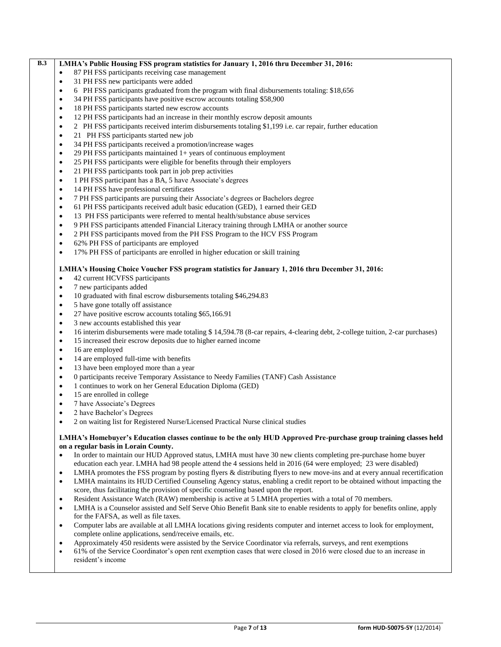## **B.3 LMHA's Public Housing FSS program statistics for January 1, 2016 thru December 31, 2016:**

- 87 PH FSS participants receiving case management
- 31 PH FSS new participants were added
- 6 PH FSS participants graduated from the program with final disbursements totaling: \$18,656
- 34 PH FSS participants have positive escrow accounts totaling \$58,900
- 18 PH FSS participants started new escrow accounts
- 12 PH FSS participants had an increase in their monthly escrow deposit amounts
- 2 PH FSS participants received interim disbursements totaling \$1,199 i.e. car repair, further education
- 21 PH FSS participants started new job
- 34 PH FSS participants received a promotion/increase wages
- 29 PH FSS participants maintained 1+ years of continuous employment
- 25 PH FSS participants were eligible for benefits through their employers
- 21 PH FSS participants took part in job prep activities
- 1 PH FSS participant has a BA, 5 have Associate's degrees
- 14 PH FSS have professional certificates
- 7 PH FSS participants are pursuing their Associate's degrees or Bachelors degree
- 61 PH FSS participants received adult basic education (GED), 1 earned their GED
- 13 PH FSS participants were referred to mental health/substance abuse services
- 9 PH FSS participants attended Financial Literacy training through LMHA or another source
- 2 PH FSS participants moved from the PH FSS Program to the HCV FSS Program
- 62% PH FSS of participants are employed
- 17% PH FSS of participants are enrolled in higher education or skill training

### **LMHA's Housing Choice Voucher FSS program statistics for January 1, 2016 thru December 31, 2016:**

- 42 current HCVFSS participants
- 7 new participants added
- 10 graduated with final escrow disbursements totaling \$46,294.83
- 5 have gone totally off assistance
- 27 have positive escrow accounts totaling \$65,166.91
- 3 new accounts established this year
- 16 interim disbursements were made totaling \$ 14,594.78 (8-car repairs, 4-clearing debt, 2-college tuition, 2-car purchases)
- 15 increased their escrow deposits due to higher earned income
- 16 are employed
- 14 are employed full-time with benefits
- 13 have been employed more than a year
- 0 participants receive Temporary Assistance to Needy Families (TANF) Cash Assistance
- 1 continues to work on her General Education Diploma (GED)
- 15 are enrolled in college
- 7 have Associate's Degrees
- 2 have Bachelor's Degrees
- 2 on waiting list for Registered Nurse/Licensed Practical Nurse clinical studies

### **LMHA's Homebuyer's Education classes continue to be the only HUD Approved Pre-purchase group training classes held on a regular basis in Lorain County.**

- In order to maintain our HUD Approved status, LMHA must have 30 new clients completing pre-purchase home buyer education each year. LMHA had 98 people attend the 4 sessions held in 2016 (64 were employed; 23 were disabled)
- LMHA promotes the FSS program by posting flyers & distributing flyers to new move-ins and at every annual recertification
- LMHA maintains its HUD Certified Counseling Agency status, enabling a credit report to be obtained without impacting the score, thus facilitating the provision of specific counseling based upon the report.
- Resident Assistance Watch (RAW) membership is active at 5 LMHA properties with a total of 70 members.
- LMHA is a Counselor assisted and Self Serve Ohio Benefit Bank site to enable residents to apply for benefits online, apply for the FAFSA, as well as file taxes.
- Computer labs are available at all LMHA locations giving residents computer and internet access to look for employment, complete online applications, send/receive emails, etc.
- Approximately 450 residents were assisted by the Service Coordinator via referrals, surveys, and rent exemptions
- 61% of the Service Coordinator's open rent exemption cases that were closed in 2016 were closed due to an increase in resident's income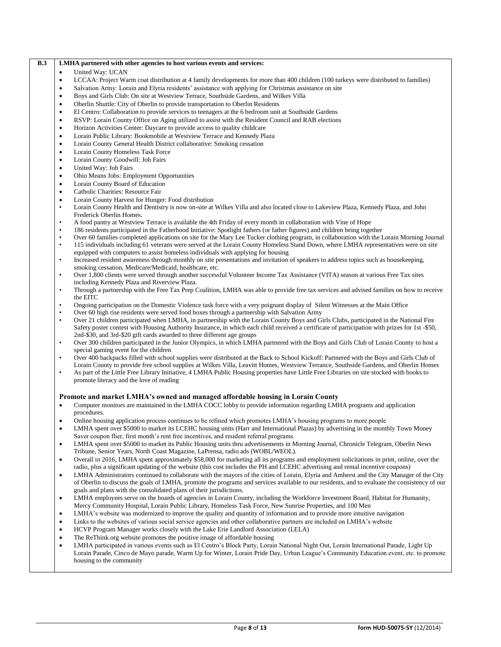### **B.3 LMHA partnered with other agencies to host various events and services:**

- United Way: UCAN
- LCCAA: Project Warm coat distribution at 4 family developments for more than 400 children (100 turkeys were distributed to families)
- Salvation Army: Lorain and Elyria residents' assistance with applying for Christmas assistance on site
- Boys and Girls Club: On site at Westview Terrace, Southside Gardens, and Wilkes Villa
- Oberlin Shuttle: City of Oberlin to provide transportation to Oberlin Residents
- El Centro: Collaboration to provide services to teenagers at the 6 bedroom unit at Southside Gardens
- RSVP: Lorain County Office on Aging utilized to assist with the Resident Council and RAB elections
- Horizon Activities Center: Daycare to provide access to quality childcare
- Lorain Public Library: Bookmobile at Westview Terrace and Kennedy Plaza
- Lorain County General Health District collaborative: Smoking cessation
- Lorain County Homeless Task Force
- Lorain County Goodwill: Job Fairs
- United Way: Job Fairs
- Ohio Means Jobs: Employment Opportunities
- Lorain County Board of Education
- Catholic Charities: Resource Fair
- Lorain County Harvest for Hunger: Food distribution
- Lorain County Health and Dentistry is now on-site at Wilkes Villa and also located close to Lakeview Plaza, Kennedy Plaza, and John Frederick Oberlin Homes.
- A food pantry at Westview Terrace is available the 4th Friday of every month in collaboration with Vine of Hope
- 186 residents participated in the Fatherhood Initiative: Spotlight fathers (or father figures) and children being together
- Over 60 families completed applications on site for the Mary Lee Tucker clothing program, in collaboration with the Lorain Morning Journal
- 115 individuals including 61 veterans were served at the Lorain County Homeless Stand Down, where LMHA representatives were on site equipped with computers to assist homeless individuals with applying for housing
- Increased resident awareness through monthly on site presentations and invitation of speakers to address topics such as housekeeping, smoking cessation, Medicare/Medicaid, healthcare, etc.
- Over 1,800 clients were served through another successful Volunteer Income Tax Assistance (VITA) season at various Free Tax sites including Kennedy Plaza and Riverview Plaza.
- Through a partnership with the Free Tax Prep Coalition, LMHA was able to provide free tax services and advised families on how to receive the EITC
- Ongoing participation on the Domestic Violence task force with a very poignant display of Silent Witnesses at the Main Office
- Over 60 high rise residents were served food boxes through a partnership with Salvation Army
- Over 21 children participated when LMHA, in partnership with the Lorain County Boys and Girls Clubs, participated in the National Fire Safety poster contest with Housing Authority Insurance, in which each child received a certificate of participation with prizes for 1st -\$50, 2nd-\$30, and 3rd-\$20 gift cards awarded to three different age groups
- Over 300 children participated in the Junior Olympics, in which LMHA partnered with the Boys and Girls Club of Lorain County to host a special gaming event for the children
- Over 400 backpacks filled with school supplies were distributed at the Back to School Kickoff: Partnered with the Boys and Girls Club of Lorain County to provide free school supplies at Wilkes Villa, Leavitt Homes, Westview Terrance, Southside Gardens, and Oberlin Homes
- As part of the Little Free Library Initiative, 4 LMHA Public Housing properties have Little Free Libraries on site stocked with books to promote literacy and the love of reading

### **Promote and market LMHA's owned and managed affordable housing in Lorain County**

- Computer monitors are maintained in the LMHA COCC lobby to provide information regarding LMHA programs and application procedures.
- Online housing application process continues to be refined which promotes LMHA's housing programs to more people
- LMHA spent over \$5000 to market its LCEHC housing units (Harr and International Plazas) by advertising in the monthly Town Money Saver coupon flier, first month's rent free incentives, and resident referral programs.
- LMHA spent over \$5000 to market its Public Housing units thru advertisements in Morning Journal, Chronicle Telegram, Oberlin News Tribune, Senior Years, North Coast Magazine, LaPrensa, radio ads (WOBL/WEOL).
- Overall in 2016, LMHA spent approximately \$58,000 for marketing all its programs and employment solicitations in print, online, over the radio, plus a significant updating of the website (this cost includes the PH and LCEHC advertising and rental incentive coupons)
- LMHA Administrators continued to collaborate with the mayors of the cities of Lorain, Elyria and Amherst and the City Manager of the City of Oberlin to discuss the goals of LMHA, promote the programs and services available to our residents, and to evaluate the consistency of our goals and plans with the consolidated plans of their jurisdictions.
- LMHA employees serve on the boards of agencies in Lorain County, including the Workforce Investment Board, Habitat for Humanity, Mercy Community Hospital, Lorain Public Library, Homeless Task Force, New Sunrise Properties, and 100 Men
- LMHA's website was modernized to improve the quality and quantity of information and to provide more intuitive navigation
- Links to the websites of various social service agencies and other collaborative partners are included on LMHA's website
- HCVP Program Manager works closely with the Lake Erie Landlord Association (LELA)
- The ReThink.org website promotes the positive image of affordable housing
- LMHA participated in various events such as El Centro's Block Party, Lorain National Night Out, Lorain International Parade, Light Up Lorain Parade, Cinco de Mayo parade, Warm Up for Winter, Lorain Pride Day, Urban League's Community Education event, etc. to promote housing to the community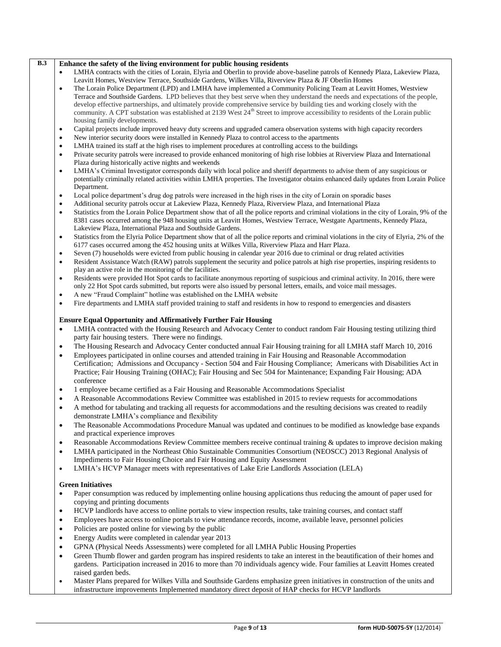| B.3 | Enhance the safety of the living environment for public housing residents                                                                                                                             |
|-----|-------------------------------------------------------------------------------------------------------------------------------------------------------------------------------------------------------|
|     | LMHA contracts with the cities of Lorain, Elyria and Oberlin to provide above-baseline patrols of Kennedy Plaza, Lakeview Plaza,<br>$\bullet$                                                         |
|     | Leavitt Homes, Westview Terrace, Southside Gardens, Wilkes Villa, Riverview Plaza & JF Oberlin Homes                                                                                                  |
|     | The Lorain Police Department (LPD) and LMHA have implemented a Community Policing Team at Leavitt Homes, Westview<br>$\bullet$                                                                        |
|     | Terrace and Southside Gardens. LPD believes that they best serve when they understand the needs and expectations of the people,                                                                       |
|     | develop effective partnerships, and ultimately provide comprehensive service by building ties and working closely with the                                                                            |
|     | community. A CPT substation was established at 2139 West 24 <sup>th</sup> Street to improve accessibility to residents of the Lorain public                                                           |
|     | housing family developments.                                                                                                                                                                          |
|     | Capital projects include improved heavy duty screens and upgraded camera observation systems with high capacity recorders<br>$\bullet$                                                                |
|     | New interior security doors were installed in Kennedy Plaza to control access to the apartments<br>٠                                                                                                  |
|     | LMHA trained its staff at the high rises to implement procedures at controlling access to the buildings<br>٠                                                                                          |
|     | Private security patrols were increased to provide enhanced monitoring of high rise lobbies at Riverview Plaza and International<br>$\bullet$<br>Plaza during historically active nights and weekends |
|     | LMHA's Criminal Investigator corresponds daily with local police and sheriff departments to advise them of any suspicious or<br>$\bullet$                                                             |
|     | potentially criminally related activities within LMHA properties. The Investigator obtains enhanced daily updates from Lorain Police                                                                  |
|     | Department.                                                                                                                                                                                           |
|     | Local police department's drug dog patrols were increased in the high rises in the city of Lorain on sporadic bases<br>$\bullet$                                                                      |
|     | Additional security patrols occur at Lakeview Plaza, Kennedy Plaza, Riverview Plaza, and International Plaza<br>$\bullet$                                                                             |
|     | Statistics from the Lorain Police Department show that of all the police reports and criminal violations in the city of Lorain, 9% of the<br>$\bullet$                                                |
|     | 8381 cases occurred among the 948 housing units at Leavitt Homes, Westview Terrace, Westgate Apartments, Kennedy Plaza,                                                                               |
|     | Lakeview Plaza, International Plaza and Southside Gardens.                                                                                                                                            |
|     | Statistics from the Elyria Police Department show that of all the police reports and criminal violations in the city of Elyria, 2% of the<br>$\bullet$                                                |
|     | 6177 cases occurred among the 452 housing units at Wilkes Villa, Riverview Plaza and Harr Plaza.                                                                                                      |
|     | Seven (7) households were evicted from public housing in calendar year 2016 due to criminal or drug related activities<br>$\bullet$                                                                   |
|     | Resident Assistance Watch (RAW) patrols supplement the security and police patrols at high rise properties, inspiring residents to<br>$\bullet$                                                       |
|     | play an active role in the monitoring of the facilities.                                                                                                                                              |
|     | Residents were provided Hot Spot cards to facilitate anonymous reporting of suspicious and criminal activity. In 2016, there were<br>$\bullet$                                                        |
|     | only 22 Hot Spot cards submitted, but reports were also issued by personal letters, emails, and voice mail messages.                                                                                  |
|     | A new "Fraud Complaint" hotline was established on the LMHA website<br>$\bullet$                                                                                                                      |
|     | Fire departments and LMHA staff provided training to staff and residents in how to respond to emergencies and disasters<br>$\bullet$                                                                  |
|     | <b>Ensure Equal Opportunity and Affirmatively Further Fair Housing</b>                                                                                                                                |
|     | LMHA contracted with the Housing Research and Advocacy Center to conduct random Fair Housing testing utilizing third<br>$\bullet$                                                                     |
|     | party fair housing testers. There were no findings.                                                                                                                                                   |
|     | The Housing Research and Advocacy Center conducted annual Fair Housing training for all LMHA staff March 10, 2016<br>$\bullet$                                                                        |
|     | Employees participated in online courses and attended training in Fair Housing and Reasonable Accommodation<br>$\bullet$                                                                              |
|     | Certification; Admissions and Occupancy - Section 504 and Fair Housing Compliance; Americans with Disabilities Act in                                                                                 |
|     | Practice; Fair Housing Training (OHAC); Fair Housing and Sec 504 for Maintenance; Expanding Fair Housing; ADA                                                                                         |
|     | conference                                                                                                                                                                                            |
|     | 1 employee became certified as a Fair Housing and Reasonable Accommodations Specialist<br>$\bullet$                                                                                                   |
|     | A Reasonable Accommodations Review Committee was established in 2015 to review requests for accommodations<br>$\bullet$                                                                               |
|     | A method for tabulating and tracking all requests for accommodations and the resulting decisions was created to readily<br>$\bullet$                                                                  |
|     | demonstrate LMHA's compliance and flexibility                                                                                                                                                         |
|     | The Reasonable Accommodations Procedure Manual was updated and continues to be modified as knowledge base expands                                                                                     |
|     | and practical experience improves                                                                                                                                                                     |
|     | Reasonable Accommodations Review Committee members receive continual training & updates to improve decision making<br>$\bullet$                                                                       |
|     | LMHA participated in the Northeast Ohio Sustainable Communities Consortium (NEOSCC) 2013 Regional Analysis of<br>$\bullet$                                                                            |
|     | Impediments to Fair Housing Choice and Fair Housing and Equity Assessment                                                                                                                             |
|     | LMHA's HCVP Manager meets with representatives of Lake Erie Landlords Association (LELA)<br>$\bullet$                                                                                                 |
|     |                                                                                                                                                                                                       |
|     | <b>Green Initiatives</b>                                                                                                                                                                              |
|     | Paper consumption was reduced by implementing online housing applications thus reducing the amount of paper used for<br>$\bullet$                                                                     |
|     | copying and printing documents                                                                                                                                                                        |
|     | HCVP landlords have access to online portals to view inspection results, take training courses, and contact staff<br>$\bullet$                                                                        |
|     | Employees have access to online portals to view attendance records, income, available leave, personnel policies<br>$\bullet$                                                                          |
|     | Policies are posted online for viewing by the public<br>$\bullet$                                                                                                                                     |
|     | Energy Audits were completed in calendar year 2013<br>$\bullet$                                                                                                                                       |
|     | GPNA (Physical Needs Assessments) were completed for all LMHA Public Housing Properties<br>$\bullet$                                                                                                  |
|     | Green Thumb flower and garden program has inspired residents to take an interest in the beautification of their homes and<br>$\bullet$                                                                |
|     | gardens. Participation increased in 2016 to more than 70 individuals agency wide. Four families at Leavitt Homes created                                                                              |
|     | raised garden beds.                                                                                                                                                                                   |

 Master Plans prepared for Wilkes Villa and Southside Gardens emphasize green initiatives in construction of the units and infrastructure improvements Implemented mandatory direct deposit of HAP checks for HCVP landlords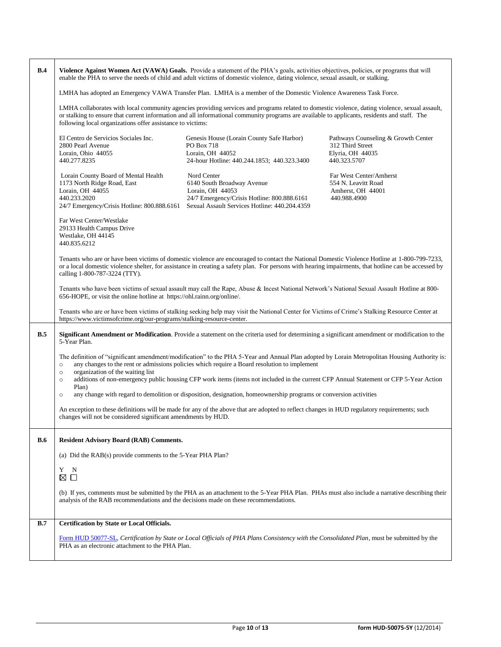| B.4        | Violence Against Women Act (VAWA) Goals. Provide a statement of the PHA's goals, activities objectives, policies, or programs that will<br>enable the PHA to serve the needs of child and adult victims of domestic violence, dating violence, sexual assault, or stalking.                                                                                   |                                                                                                                                                               |                                                                                             |  |  |
|------------|---------------------------------------------------------------------------------------------------------------------------------------------------------------------------------------------------------------------------------------------------------------------------------------------------------------------------------------------------------------|---------------------------------------------------------------------------------------------------------------------------------------------------------------|---------------------------------------------------------------------------------------------|--|--|
|            | LMHA has adopted an Emergency VAWA Transfer Plan. LMHA is a member of the Domestic Violence Awareness Task Force.                                                                                                                                                                                                                                             |                                                                                                                                                               |                                                                                             |  |  |
|            | LMHA collaborates with local community agencies providing services and programs related to domestic violence, dating violence, sexual assault,<br>or stalking to ensure that current information and all informational community programs are available to applicants, residents and staff. The<br>following local organizations offer assistance to victims: |                                                                                                                                                               |                                                                                             |  |  |
|            | El Centro de Servicios Sociales Inc.<br>2800 Pearl Avenue<br>Lorain, Ohio 44055<br>440.277.8235                                                                                                                                                                                                                                                               | Genesis House (Lorain County Safe Harbor)<br>PO Box 718<br>Lorain, OH 44052<br>24-hour Hotline: 440.244.1853; 440.323.3400                                    | Pathways Counseling & Growth Center<br>312 Third Street<br>Elyria, OH 44035<br>440.323.5707 |  |  |
|            | Lorain County Board of Mental Health<br>1173 North Ridge Road, East<br>Lorain, OH 44055<br>440.233.2020<br>24/7 Emergency/Crisis Hotline: 800.888.6161                                                                                                                                                                                                        | Nord Center<br>6140 South Broadway Avenue<br>Lorain, OH 44053<br>24/7 Emergency/Crisis Hotline: 800.888.6161<br>Sexual Assault Services Hotline: 440.204.4359 | Far West Center/Amherst<br>554 N. Leavitt Road<br>Amherst, OH 44001<br>440.988.4900         |  |  |
|            | Far West Center/Westlake<br>29133 Health Campus Drive<br>Westlake, OH 44145<br>440.835.6212                                                                                                                                                                                                                                                                   |                                                                                                                                                               |                                                                                             |  |  |
|            | Tenants who are or have been victims of domestic violence are encouraged to contact the National Domestic Violence Hotline at 1-800-799-7233,<br>or a local domestic violence shelter, for assistance in creating a safety plan. For persons with hearing impairments, that hotline can be accessed by<br>calling 1-800-787-3224 (TTY).                       |                                                                                                                                                               |                                                                                             |  |  |
|            | Tenants who have been victims of sexual assault may call the Rape, Abuse & Incest National Network's National Sexual Assault Hotline at 800-<br>656-HOPE, or visit the online hotline at https://ohl.rainn.org/online/.                                                                                                                                       |                                                                                                                                                               |                                                                                             |  |  |
|            | Tenants who are or have been victims of stalking seeking help may visit the National Center for Victims of Crime's Stalking Resource Center at<br>https://www.victimsofcrime.org/our-programs/stalking-resource-center.                                                                                                                                       |                                                                                                                                                               |                                                                                             |  |  |
| B.5        | Significant Amendment or Modification. Provide a statement on the criteria used for determining a significant amendment or modification to the<br>5-Year Plan.                                                                                                                                                                                                |                                                                                                                                                               |                                                                                             |  |  |
|            | The definition of "significant amendment/modification" to the PHA 5-Year and Annual Plan adopted by Lorain Metropolitan Housing Authority is:<br>any changes to the rent or admissions policies which require a Board resolution to implement<br>$\circ$                                                                                                      |                                                                                                                                                               |                                                                                             |  |  |
|            | organization of the waiting list<br>$\circ$<br>additions of non-emergency public housing CFP work items (items not included in the current CFP Annual Statement or CFP 5-Year Action<br>$\circ$<br>Plan)                                                                                                                                                      |                                                                                                                                                               |                                                                                             |  |  |
|            | any change with regard to demolition or disposition, designation, homeownership programs or conversion activities<br>$\circ$                                                                                                                                                                                                                                  |                                                                                                                                                               |                                                                                             |  |  |
|            | An exception to these definitions will be made for any of the above that are adopted to reflect changes in HUD regulatory requirements; such<br>changes will not be considered significant amendments by HUD.                                                                                                                                                 |                                                                                                                                                               |                                                                                             |  |  |
| <b>B.6</b> | <b>Resident Advisory Board (RAB) Comments.</b>                                                                                                                                                                                                                                                                                                                |                                                                                                                                                               |                                                                                             |  |  |
|            | (a) Did the RAB(s) provide comments to the 5-Year PHA Plan?                                                                                                                                                                                                                                                                                                   |                                                                                                                                                               |                                                                                             |  |  |
|            | Y<br>N<br>$\Box$<br>⊠                                                                                                                                                                                                                                                                                                                                         |                                                                                                                                                               |                                                                                             |  |  |
|            | analysis of the RAB recommendations and the decisions made on these recommendations.                                                                                                                                                                                                                                                                          | (b) If yes, comments must be submitted by the PHA as an attachment to the 5-Year PHA Plan. PHAs must also include a narrative describing their                |                                                                                             |  |  |
| B.7        | Certification by State or Local Officials.                                                                                                                                                                                                                                                                                                                    |                                                                                                                                                               |                                                                                             |  |  |
|            | PHA as an electronic attachment to the PHA Plan.                                                                                                                                                                                                                                                                                                              | Form HUD 50077-SL, Certification by State or Local Officials of PHA Plans Consistency with the Consolidated Plan, must be submitted by the                    |                                                                                             |  |  |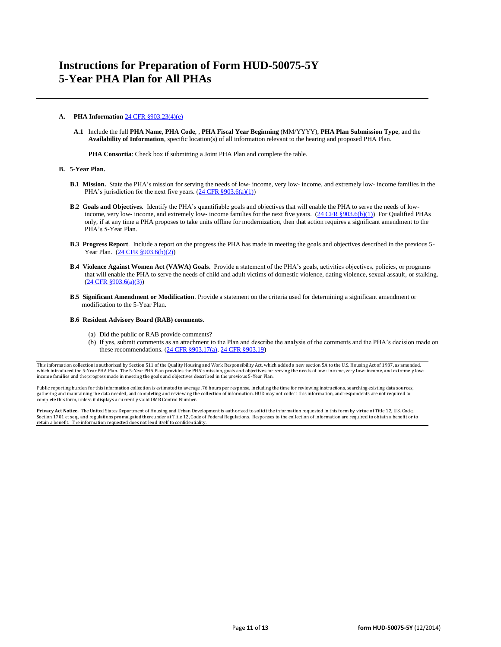### **A. PHA Information** [24 CFR §903.23\(4\)\(e\)](http://ecfr.gpoaccess.gov/cgi/t/text/text-idx?c=ecfr&sid=13734845220744370804c20da2294a03&rgn=div5&view=text&node=24:4.0.3.1.3&idno=24#24:4.0.3.1.3.2.5.14)

**A.1** Include the full **PHA Name**, **PHA Code**, , **PHA Fiscal Year Beginning** (MM/YYYY), **PHA Plan Submission Type**, and the **Availability of Information**, specific location(s) of all information relevant to the hearing and proposed PHA Plan.

**PHA Consortia**: Check box if submitting a Joint PHA Plan and complete the table.

#### **B. 5-Year Plan.**

- **B.1 Mission.** State the PHA's mission for serving the needs of low- income, very low- income, and extremely low- income families in the PHA's jurisdiction for the next five years.  $(24 \text{ CFR } \text{\textless} 903.6(a)(1))$
- **B.2 Goals and Objectives**. Identify the PHA's quantifiable goals and objectives that will enable the PHA to serve the needs of low-income, very low- income, and extremely low- income families for the next five years. [\(24 CFR §903.6\(b\)\(1\)\)](http://ecfr.gpoaccess.gov/cgi/t/text/text-idx?c=ecfr&sid=13734845220744370804c20da2294a03&rgn=div5&view=text&node=24:4.0.3.1.3&idno=24#24:4.0.3.1.3.2.5.4) For Qualified PHAs only, if at any time a PHA proposes to take units offline for modernization, then that action requires a significant amendment to the PHA's 5-Year Plan.
- **B.3 Progress Report**. Include a report on the progress the PHA has made in meeting the goals and objectives described in the previous 5- Year Plan. [\(24 CFR §903.6\(b\)\(2\)\)](http://ecfr.gpoaccess.gov/cgi/t/text/text-idx?c=ecfr&sid=13734845220744370804c20da2294a03&rgn=div5&view=text&node=24:4.0.3.1.3&idno=24#24:4.0.3.1.3.2.5.4)
- **B.4 Violence Against Women Act (VAWA) Goals.** Provide a statement of the PHA's goals, activities objectives, policies, or programs that will enable the PHA to serve the needs of child and adult victims of domestic violence, dating violence, sexual assault, or stalking. [\(24 CFR §903.6\(a\)\(3\)\)](http://ecfr.gpoaccess.gov/cgi/t/text/text-idx?c=ecfr&sid=13734845220744370804c20da2294a03&rgn=div5&view=text&node=24:4.0.3.1.3&idno=24#24:4.0.3.1.3.2.5.4)
- **B.5 Significant Amendment or Modification**. Provide a statement on the criteria used for determining a significant amendment or modification to the 5-Year Plan.

#### **B.6 Resident Advisory Board (RAB) comments**.

- (a) Did the public or RAB provide comments?
- (b) If yes, submit comments as an attachment to the Plan and describe the analysis of the comments and the PHA's decision made on these recommendations. [\(24 CFR §903.17\(a\),](file:///C:/Documents%20and%20Settings/h18613/Local%20Settings/Temporary%20Internet%20Files/Content.Outlook/Application%20Data/Microsoft/24%20CFR%20903.17(a).htm) [24 CFR §903.19\)](http://ecfr.gpoaccess.gov/cgi/t/text/text-idx?c=ecfr&sid=f41eb312b1425d2a95a2478fde61e11f&rgn=div5&view=text&node=24:4.0.3.1.3&idno=24#24:4.0.3.1.3.2.5.12)

This information collection is authorized by Section 511 of the Quality Housing and Work Responsibility Act, which added a new section 5A to the U.S. Housing Act of 1937, as amended, which introduced the 5-Year PHA Plan. The 5-Year PHA Plan provides the PHA's mission, goals and objectives for serving the needs of low- income, very low- income, and extremely lowincome families and the progress made in meeting the goals and objectives described in the previous 5-Year Plan.

Public reporting burden for this information collection is estimated to average .76 hours per response, including the time for reviewing instructions, searching existing data sources, gathering and maintaining the data needed, and completing and reviewing the collection of information. HUD may not collect this information, and respondents are not required to<br>complete this form, unless it displays a curr

**Privacy Act Notice.** The United States Department of Housing and Urban Development is authorized to solicit the information requested in this form by virtue of Title 12, U.S. Code,<br>Section 1701 et seq., and regulations pr retain a benefit. The information requested does not lend itself to confidentiality.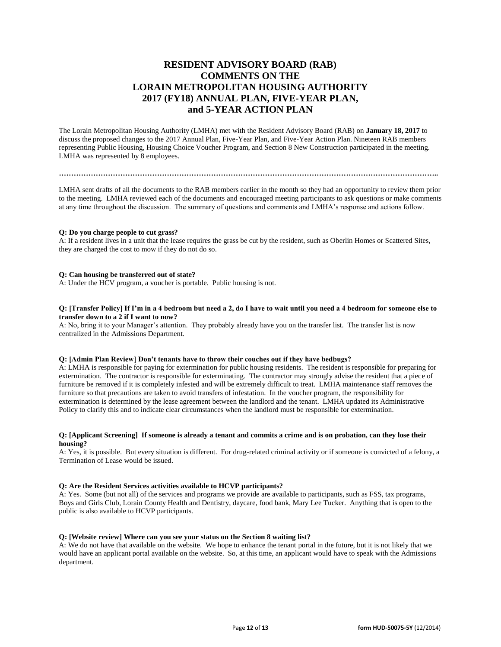# **RESIDENT ADVISORY BOARD (RAB) COMMENTS ON THE LORAIN METROPOLITAN HOUSING AUTHORITY 2017 (FY18) ANNUAL PLAN, FIVE-YEAR PLAN, and 5-YEAR ACTION PLAN**

The Lorain Metropolitan Housing Authority (LMHA) met with the Resident Advisory Board (RAB) on **January 18, 2017** to discuss the proposed changes to the 2017 Annual Plan, Five-Year Plan, and Five-Year Action Plan. Nineteen RAB members representing Public Housing, Housing Choice Voucher Program, and Section 8 New Construction participated in the meeting. LMHA was represented by 8 employees.

#### **………………………………………………………………………………………………………………………………………..**

LMHA sent drafts of all the documents to the RAB members earlier in the month so they had an opportunity to review them prior to the meeting. LMHA reviewed each of the documents and encouraged meeting participants to ask questions or make comments at any time throughout the discussion. The summary of questions and comments and LMHA's response and actions follow.

#### **Q: Do you charge people to cut grass?**

A: If a resident lives in a unit that the lease requires the grass be cut by the resident, such as Oberlin Homes or Scattered Sites, they are charged the cost to mow if they do not do so.

### **Q: Can housing be transferred out of state?**

A: Under the HCV program, a voucher is portable. Public housing is not.

### **Q: [Transfer Policy] If I'm in a 4 bedroom but need a 2, do I have to wait until you need a 4 bedroom for someone else to transfer down to a 2 if I want to now?**

A: No, bring it to your Manager's attention. They probably already have you on the transfer list. The transfer list is now centralized in the Admissions Department.

### **Q: [Admin Plan Review] Don't tenants have to throw their couches out if they have bedbugs?**

A: LMHA is responsible for paying for extermination for public housing residents. The resident is responsible for preparing for extermination. The contractor is responsible for exterminating. The contractor may strongly advise the resident that a piece of furniture be removed if it is completely infested and will be extremely difficult to treat. LMHA maintenance staff removes the furniture so that precautions are taken to avoid transfers of infestation. In the voucher program, the responsibility for extermination is determined by the lease agreement between the landlord and the tenant. LMHA updated its Administrative Policy to clarify this and to indicate clear circumstances when the landlord must be responsible for extermination.

### **Q: [Applicant Screening] If someone is already a tenant and commits a crime and is on probation, can they lose their housing?**

A: Yes, it is possible. But every situation is different. For drug-related criminal activity or if someone is convicted of a felony, a Termination of Lease would be issued.

### **Q: Are the Resident Services activities available to HCVP participants?**

A: Yes. Some (but not all) of the services and programs we provide are available to participants, such as FSS, tax programs, Boys and Girls Club, Lorain County Health and Dentistry, daycare, food bank, Mary Lee Tucker. Anything that is open to the public is also available to HCVP participants.

### **Q: [Website review] Where can you see your status on the Section 8 waiting list?**

A: We do not have that available on the website. We hope to enhance the tenant portal in the future, but it is not likely that we would have an applicant portal available on the website. So, at this time, an applicant would have to speak with the Admissions department.